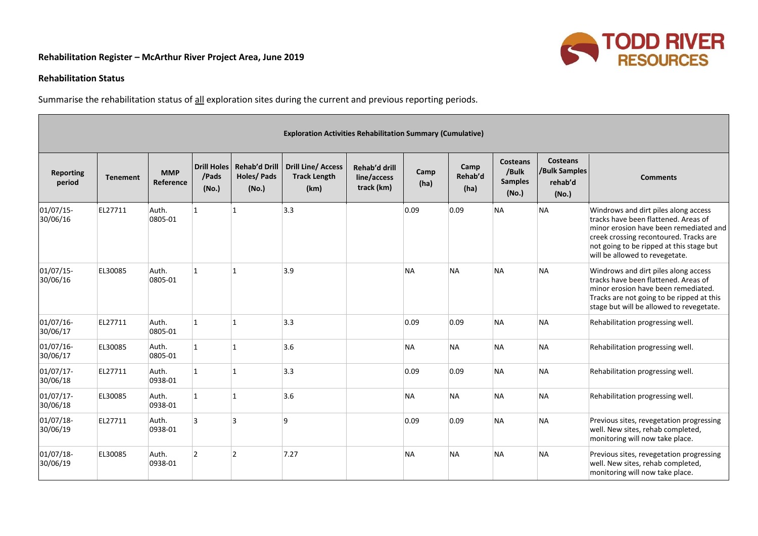## **Rehabilitation Register – McArthur River Project Area, June 2019**



## **Rehabilitation Status**

Summarise the rehabilitation status of all exploration sites during the current and previous reporting periods.

| <b>Exploration Activities Rehabilitation Summary (Cumulative)</b> |                 |                         |                                      |                                                    |                                                          |                                            |              |                         |                                                     |                                                      |                                                                                                                                                                                                                                                |
|-------------------------------------------------------------------|-----------------|-------------------------|--------------------------------------|----------------------------------------------------|----------------------------------------------------------|--------------------------------------------|--------------|-------------------------|-----------------------------------------------------|------------------------------------------------------|------------------------------------------------------------------------------------------------------------------------------------------------------------------------------------------------------------------------------------------------|
| <b>Reporting</b><br>period                                        | <b>Tenement</b> | <b>MMP</b><br>Reference | <b>Drill Holes</b><br>/Pads<br>(No.) | <b>Rehab'd Drill</b><br><b>Holes/Pads</b><br>(No.) | <b>Drill Line/ Access</b><br><b>Track Length</b><br>(km) | Rehab'd drill<br>line/access<br>track (km) | Camp<br>(ha) | Camp<br>Rehab'd<br>(ha) | <b>Costeans</b><br>/Bulk<br><b>Samples</b><br>(No.) | <b>Costeans</b><br>/Bulk Samples<br>rehab'd<br>(No.) | <b>Comments</b>                                                                                                                                                                                                                                |
| 01/07/15-<br>30/06/16                                             | EL27711         | Auth.<br>0805-01        | 1                                    | ∣1                                                 | 3.3                                                      |                                            | 0.09         | 0.09                    | <b>NA</b>                                           | <b>NA</b>                                            | Windrows and dirt piles along access<br>tracks have been flattened. Areas of<br>minor erosion have been remediated and<br>creek crossing recontoured. Tracks are<br>not going to be ripped at this stage but<br>will be allowed to revegetate. |
| $01/07/15$ -<br>30/06/16                                          | EL30085         | Auth.<br>0805-01        | 1                                    | 11                                                 | 3.9                                                      |                                            | <b>NA</b>    | <b>NA</b>               | <b>NA</b>                                           | <b>NA</b>                                            | Windrows and dirt piles along access<br>tracks have been flattened. Areas of<br>minor erosion have been remediated.<br>Tracks are not going to be ripped at this<br>stage but will be allowed to revegetate.                                   |
| $01/07/16$ -<br>30/06/17                                          | EL27711         | Auth.<br>0805-01        | 1                                    | 1                                                  | 3.3                                                      |                                            | 0.09         | 0.09                    | <b>NA</b>                                           | <b>NA</b>                                            | Rehabilitation progressing well.                                                                                                                                                                                                               |
| 01/07/16-<br>30/06/17                                             | EL30085         | Auth.<br>0805-01        | 1                                    | 11                                                 | 3.6                                                      |                                            | <b>NA</b>    | <b>NA</b>               | <b>NA</b>                                           | <b>NA</b>                                            | Rehabilitation progressing well.                                                                                                                                                                                                               |
| $01/07/17$ -<br>30/06/18                                          | EL27711         | Auth.<br>0938-01        | 1                                    | 11                                                 | 3.3                                                      |                                            | 0.09         | 0.09                    | <b>NA</b>                                           | <b>NA</b>                                            | Rehabilitation progressing well.                                                                                                                                                                                                               |
| $01/07/17$ -<br>30/06/18                                          | EL30085         | Auth.<br>0938-01        | 1                                    | 11                                                 | 3.6                                                      |                                            | <b>NA</b>    | <b>NA</b>               | <b>NA</b>                                           | <b>NA</b>                                            | Rehabilitation progressing well.                                                                                                                                                                                                               |
| $01/07/18$ -<br>30/06/19                                          | EL27711         | Auth.<br>0938-01        | l3                                   | l٩                                                 | ۱q                                                       |                                            | 0.09         | 0.09                    | <b>NA</b>                                           | <b>NA</b>                                            | Previous sites, revegetation progressing<br>well. New sites, rehab completed,<br>monitoring will now take place.                                                                                                                               |
| $01/07/18$ -<br>30/06/19                                          | EL30085         | Auth.<br>0938-01        | 2                                    | $\overline{2}$                                     | 7.27                                                     |                                            | <b>NA</b>    | <b>NA</b>               | <b>NA</b>                                           | <b>NA</b>                                            | Previous sites, revegetation progressing<br>well. New sites, rehab completed,<br>monitoring will now take place.                                                                                                                               |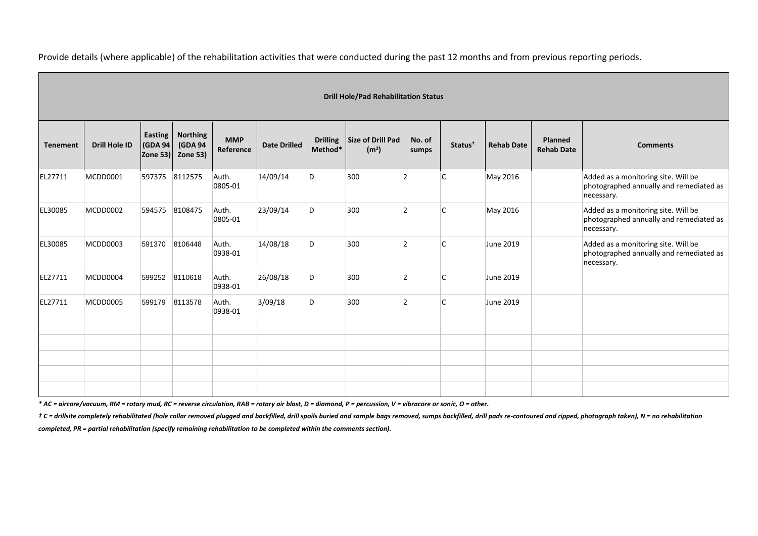Provide details (where applicable) of the rehabilitation activities that were conducted during the past 12 months and from previous reporting periods.

| <b>Drill Hole/Pad Rehabilitation Status</b> |               |                                        |                                        |                         |                     |                            |                                        |                 |                     |                   |                              |                                                                                              |
|---------------------------------------------|---------------|----------------------------------------|----------------------------------------|-------------------------|---------------------|----------------------------|----------------------------------------|-----------------|---------------------|-------------------|------------------------------|----------------------------------------------------------------------------------------------|
| <b>Tenement</b>                             | Drill Hole ID | <b>Easting</b><br>(GDA 94)<br>Zone 53) | <b>Northing</b><br>(GDA 94<br>Zone 53) | <b>MMP</b><br>Reference | <b>Date Drilled</b> | <b>Drilling</b><br>Method* | Size of Drill Pad<br>(m <sup>2</sup> ) | No. of<br>sumps | Status <sup>†</sup> | <b>Rehab Date</b> | Planned<br><b>Rehab Date</b> | <b>Comments</b>                                                                              |
| EL27711                                     | MCDD0001      | 597375                                 | 8112575                                | Auth.<br>0805-01        | 14/09/14            | D                          | 300                                    | $\overline{2}$  | $\mathsf{C}$        | May 2016          |                              | Added as a monitoring site. Will be<br>photographed annually and remediated as<br>necessary. |
| EL30085                                     | MCDD0002      | 594575                                 | 8108475                                | Auth.<br>0805-01        | 23/09/14            | D                          | 300                                    | $\overline{2}$  | lC.                 | May 2016          |                              | Added as a monitoring site. Will be<br>photographed annually and remediated as<br>necessary. |
| EL30085                                     | MCDD0003      | 591370                                 | 8106448                                | Auth.<br>0938-01        | 14/08/18            | D                          | 300                                    | $\overline{2}$  | C                   | June 2019         |                              | Added as a monitoring site. Will be<br>photographed annually and remediated as<br>necessary. |
| EL27711                                     | MCDD0004      | 599252                                 | 8110618                                | Auth.<br>0938-01        | 26/08/18            | D                          | 300                                    | 2               | $\mathsf{C}$        | June 2019         |                              |                                                                                              |
| EL27711                                     | MCDD0005      | 599179                                 | 8113578                                | Auth.<br>0938-01        | 3/09/18             | D                          | 300                                    | $\overline{2}$  | $\mathsf{C}$        | June 2019         |                              |                                                                                              |
|                                             |               |                                        |                                        |                         |                     |                            |                                        |                 |                     |                   |                              |                                                                                              |
|                                             |               |                                        |                                        |                         |                     |                            |                                        |                 |                     |                   |                              |                                                                                              |
|                                             |               |                                        |                                        |                         |                     |                            |                                        |                 |                     |                   |                              |                                                                                              |
|                                             |               |                                        |                                        |                         |                     |                            |                                        |                 |                     |                   |                              |                                                                                              |

*\* AC = aircore/vacuum, RM = rotary mud, RC = reverse circulation, RAB = rotary air blast, D = diamond, P = percussion, V = vibracore or sonic, O = other.*

t C = drillsite completely rehabilitated (hole collar removed plugged and backfilled, drill spoils buried and sample bags removed, sumps backfilled, drill pads re-contoured and ripped, photograph taken), N = no rehabilitat

*completed, PR = partial rehabilitation (specify remaining rehabilitation to be completed within the comments section).*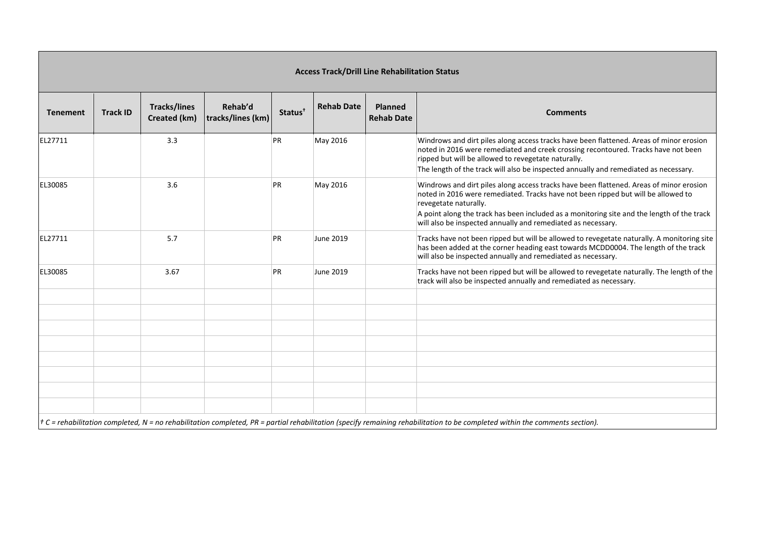| <b>Access Track/Drill Line Rehabilitation Status</b> |                 |                                     |                              |                     |                   |                                     |                                                                                                                                                                                                                                                                                                                                                                     |  |  |  |  |
|------------------------------------------------------|-----------------|-------------------------------------|------------------------------|---------------------|-------------------|-------------------------------------|---------------------------------------------------------------------------------------------------------------------------------------------------------------------------------------------------------------------------------------------------------------------------------------------------------------------------------------------------------------------|--|--|--|--|
| <b>Tenement</b>                                      | <b>Track ID</b> | <b>Tracks/lines</b><br>Created (km) | Rehab'd<br>tracks/lines (km) | Status <sup>†</sup> | <b>Rehab Date</b> | <b>Planned</b><br><b>Rehab Date</b> | <b>Comments</b>                                                                                                                                                                                                                                                                                                                                                     |  |  |  |  |
| EL27711                                              |                 | 3.3                                 |                              | PR                  | May 2016          |                                     | Windrows and dirt piles along access tracks have been flattened. Areas of minor erosion<br>noted in 2016 were remediated and creek crossing recontoured. Tracks have not been<br>ripped but will be allowed to revegetate naturally.<br>The length of the track will also be inspected annually and remediated as necessary.                                        |  |  |  |  |
| EL30085                                              |                 | 3.6                                 |                              | PR                  | May 2016          |                                     | Windrows and dirt piles along access tracks have been flattened. Areas of minor erosion<br>noted in 2016 were remediated. Tracks have not been ripped but will be allowed to<br>revegetate naturally.<br>A point along the track has been included as a monitoring site and the length of the track<br>will also be inspected annually and remediated as necessary. |  |  |  |  |
| EL27711                                              |                 | 5.7                                 |                              | PR                  | June 2019         |                                     | Tracks have not been ripped but will be allowed to revegetate naturally. A monitoring site<br>has been added at the corner heading east towards MCDD0004. The length of the track<br>will also be inspected annually and remediated as necessary.                                                                                                                   |  |  |  |  |
| EL30085                                              |                 | 3.67                                |                              | PR                  | June 2019         |                                     | Tracks have not been ripped but will be allowed to revegetate naturally. The length of the<br>track will also be inspected annually and remediated as necessary.                                                                                                                                                                                                    |  |  |  |  |
|                                                      |                 |                                     |                              |                     |                   |                                     |                                                                                                                                                                                                                                                                                                                                                                     |  |  |  |  |
|                                                      |                 |                                     |                              |                     |                   |                                     |                                                                                                                                                                                                                                                                                                                                                                     |  |  |  |  |
|                                                      |                 |                                     |                              |                     |                   |                                     |                                                                                                                                                                                                                                                                                                                                                                     |  |  |  |  |
|                                                      |                 |                                     |                              |                     |                   |                                     |                                                                                                                                                                                                                                                                                                                                                                     |  |  |  |  |
|                                                      |                 |                                     |                              |                     |                   |                                     |                                                                                                                                                                                                                                                                                                                                                                     |  |  |  |  |
|                                                      |                 |                                     |                              |                     |                   |                                     | $\tau$ C = rehabilitation completed, N = no rehabilitation completed, PR = partial rehabilitation (specify remaining rehabilitation to be completed within the comments section).                                                                                                                                                                                   |  |  |  |  |